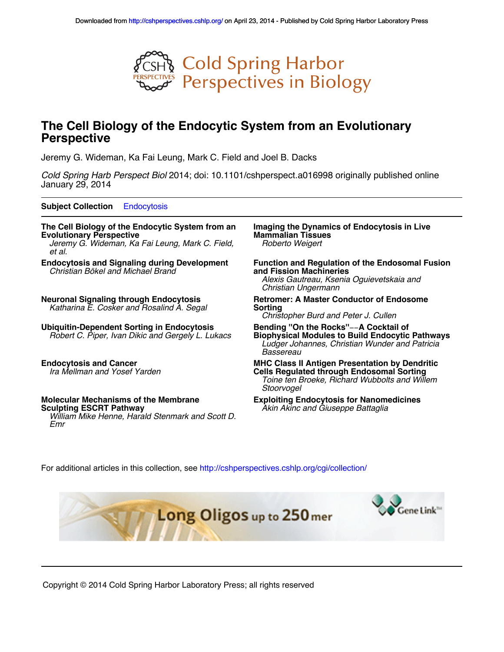

# **Perspective The Cell Biology of the Endocytic System from an Evolutionary**

Jeremy G. Wideman, Ka Fai Leung, Mark C. Field and Joel B. Dacks

January 29, 2014 *Cold Spring Harb Perspect Biol* 2014; doi: 10.1101/cshperspect.a016998 originally published online

**Subject Collection** [Endocytosis](http://cshperspectives.cshlp.org/cgi/collection/)

**Evolutionary Perspective The Cell Biology of the Endocytic System from an**

*et al. Jeremy G. Wideman, Ka Fai Leung, Mark C. Field,*

**Endocytosis and Signaling during Development** *Christian Bökel and Michael Brand* **and Fission Machineries**

**Neuronal Signaling through Endocytosis** *Katharina E. Cosker and Rosalind A. Segal* **Sorting** 

**Ubiquitin-Dependent Sorting in Endocytosis**

**Endocytosis and Cancer**

**Sculpting ESCRT Pathway Molecular Mechanisms of the Membrane**

*Emr William Mike Henne, Harald Stenmark and Scott D.* **Mammalian Tissues Imaging the Dynamics of Endocytosis in Live** *Roberto Weigert*

**Function and Regulation of the Endosomal Fusion** *Christian Ungermann Alexis Gautreau, Ksenia Oguievetskaia and*

**Retromer: A Master Conductor of Endosome**

*Christopher Burd and Peter J. Cullen*

*Robert C. Piper, Ivan Dikic and Gergely L. Lukacs* **Biophysical Modules to Build Endocytic Pathways Bending ''On the Rocks''**−−**A Cocktail of** *Bassereau Ludger Johannes, Christian Wunder and Patricia*

*Ira Mellman and Yosef Yarden* **Cells Regulated through Endosomal Sorting MHC Class II Antigen Presentation by Dendritic** *Stoorvogel Toine ten Broeke, Richard Wubbolts and Willem*

**Exploiting Endocytosis for Nanomedicines** *Akin Akinc and Giuseppe Battaglia*

For additional articles in this collection, see<http://cshperspectives.cshlp.org/cgi/collection/>



Copyright © 2014 Cold Spring Harbor Laboratory Press; all rights reserved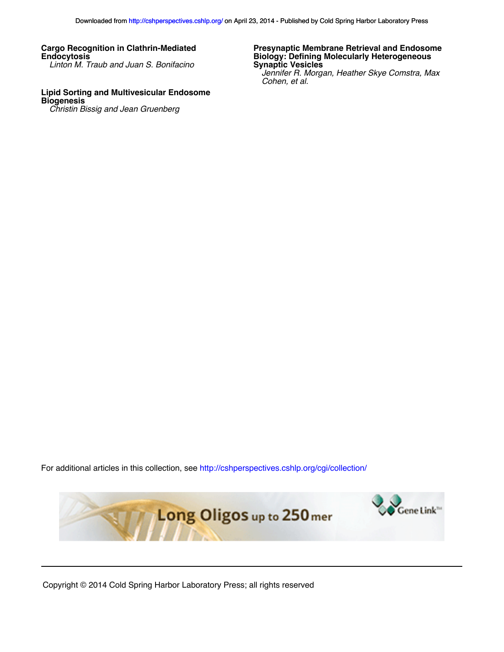### **Endocytosis Cargo Recognition in Clathrin-Mediated**

*Linton M. Traub and Juan S. Bonifacino* **Synaptic Vesicles**

### **Biogenesis Lipid Sorting and Multivesicular Endosome**

*Christin Bissig and Jean Gruenberg*

## **Biology: Defining Molecularly Heterogeneous Presynaptic Membrane Retrieval and Endosome**

*Cohen, et al. Jennifer R. Morgan, Heather Skye Comstra, Max*

For additional articles in this collection, see<http://cshperspectives.cshlp.org/cgi/collection/>



Copyright © 2014 Cold Spring Harbor Laboratory Press; all rights reserved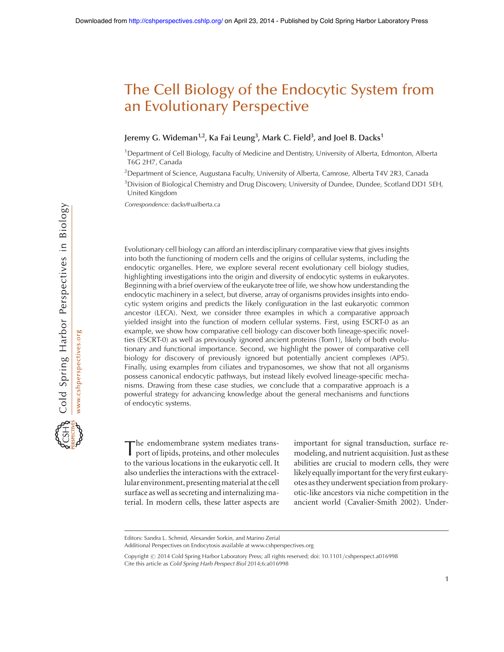# The Cell Biology of the Endocytic System from an Evolutionary Perspective

### Jeremy G. Wideman $^{1,2}$ , Ka Fai Leung $^3$ , Mark C. Field $^3$ , and Joel B. Dacks $^1$

<sup>1</sup>Department of Cell Biology, Faculty of Medicine and Dentistry, University of Alberta, Edmonton, Alberta T6G 2H7, Canada

 $^2$ Department of Science, Augustana Faculty, University of Alberta, Camrose, Alberta T4V 2R3, Canada

<sup>3</sup>Division of Biological Chemistry and Drug Discovery, University of Dundee, Dundee, Scotland DD1 5EH, United Kingdom

Correspondence: dacks@ualberta.ca

Evolutionary cell biology can afford an interdisciplinary comparative view that gives insights into both the functioning of modern cells and the origins of cellular systems, including the endocytic organelles. Here, we explore several recent evolutionary cell biology studies, highlighting investigations into the origin and diversity of endocytic systems in eukaryotes. Beginning with a brief overview of the eukaryote tree of life, we show how understanding the endocytic machinery in a select, but diverse, array of organisms provides insights into endocytic system origins and predicts the likely configuration in the last eukaryotic common ancestor (LECA). Next, we consider three examples in which a comparative approach yielded insight into the function of modern cellular systems. First, using ESCRT-0 as an example, we show how comparative cell biology can discover both lineage-specific novelties (ESCRT-0) as well as previously ignored ancient proteins (Tom1), likely of both evolutionary and functional importance. Second, we highlight the power of comparative cell biology for discovery of previously ignored but potentially ancient complexes (AP5). Finally, using examples from ciliates and trypanosomes, we show that not all organisms possess canonical endocytic pathways, but instead likely evolved lineage-specific mechanisms. Drawing from these case studies, we conclude that a comparative approach is a powerful strategy for advancing knowledge about the general mechanisms and functions of endocytic systems.

The endomembrane system mediates trans-port of lipids, proteins, and other molecules to the various locations in the eukaryotic cell. It also underlies the interactions with the extracellularenvironment, presenting material at the cell surface as well as secreting and internalizing material. In modern cells, these latter aspects are important for signal transduction, surface remodeling, and nutrient acquisition. Just as these abilities are crucial to modern cells, they were likely equally important for the very first eukaryotes as they underwent speciation from prokaryotic-like ancestors via niche competition in the ancient world (Cavalier-Smith 2002). Under-

Editors: Sandra L. Schmid, Alexander Sorkin, and Marino Zerial

Additional Perspectives on Endocytosis available at www.cshperspectives.org

Copyright @ 2014 Cold Spring Harbor Laboratory Press; all rights reserved; doi: 10.1101/cshperspect.a016998 Cite this article as Cold Spring Harb Perspect Biol 2014;6:a016998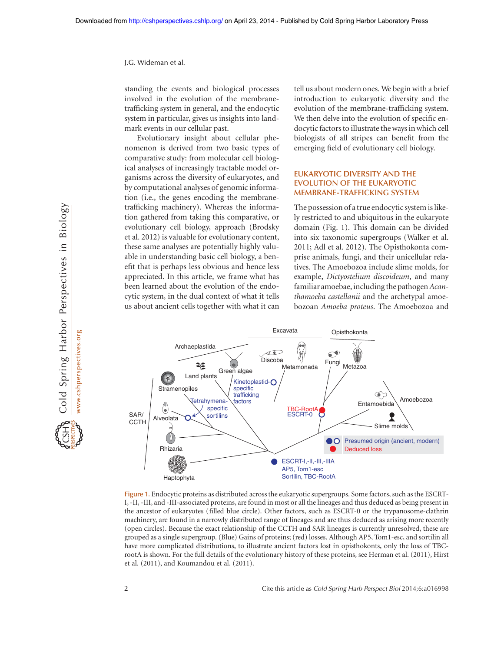standing the events and biological processes involved in the evolution of the membranetrafficking system in general, and the endocytic system in particular, gives us insights into landmark events in our cellular past.

Evolutionary insight about cellular phenomenon is derived from two basic types of comparative study: from molecular cell biological analyses of increasingly tractable model organisms across the diversity of eukaryotes, and by computational analyses of genomic information (i.e., the genes encoding the membranetrafficking machinery). Whereas the information gathered from taking this comparative, or evolutionary cell biology, approach (Brodsky et al. 2012) is valuable for evolutionary content, these same analyses are potentially highly valuable in understanding basic cell biology, a benefit that is perhaps less obvious and hence less appreciated. In this article, we frame what has been learned about the evolution of the endocytic system, in the dual context of what it tells us about ancient cells together with what it can tell us about modern ones. We begin with a brief introduction to eukaryotic diversity and the evolution of the membrane-trafficking system. We then delve into the evolution of specific endocytic factors to illustrate the ways in which cell biologists of all stripes can benefit from the emerging field of evolutionary cell biology.

### EUKARYOTIC DIVERSITY AND THE EVOLUTION OF THE EUKARYOTIC MEMBRANE-TRAFFICKING SYSTEM

The possession of a true endocytic system is likely restricted to and ubiquitous in the eukaryote domain (Fig. 1). This domain can be divided into six taxonomic supergroups (Walker et al. 2011; Adl et al. 2012). The Opisthokonta comprise animals, fungi, and their unicellular relatives. The Amoebozoa include slime molds, for example, Dictyostelium discoideum, and many familiar amoebae, including the pathogen Acanthamoeba castellanii and the archetypal amoebozoan Amoeba proteus. The Amoebozoa and



Figure 1. Endocytic proteins as distributed across the eukaryotic supergroups. Some factors, such as the ESCRT-I, -II, -III, and -III-associated proteins, are found in most or all the lineages and thus deduced as being present in the ancestor of eukaryotes (filled blue circle). Other factors, such as ESCRT-0 or the trypanosome-clathrin machinery, are found in a narrowly distributed range of lineages and are thus deduced as arising more recently (open circles). Because the exact relationship of the CCTH and SAR lineages is currently unresolved, these are grouped as a single supergroup. (Blue) Gains of proteins; (red) losses. Although AP5, Tom1-esc, and sortilin all have more complicated distributions, to illustrate ancient factors lost in opisthokonts, only the loss of TBCrootA is shown. For the full details of the evolutionary history of these proteins, see Herman et al. (2011), Hirst et al. (2011), and Koumandou et al. (2011).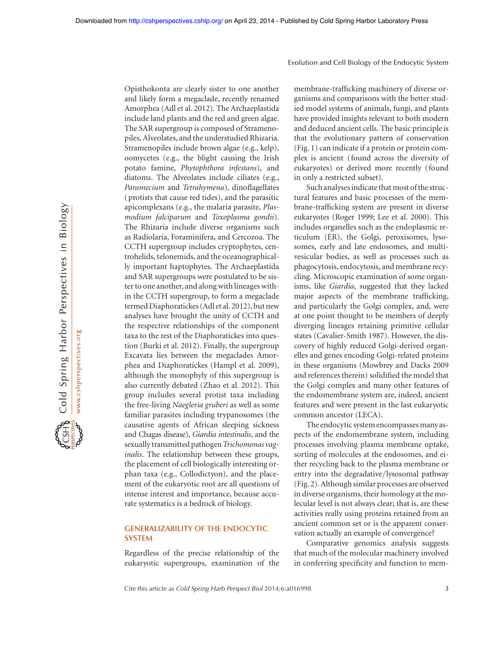Cold Spring Harbor Perspectives in Biology www.cshperspectives.org Opisthokonta are clearly sister to one another and likely form a megaclade, recently renamed Amorphea (Adl et al. 2012). The Archaeplastida include land plants and the red and green algae. The SAR supergroup is composed of Stramenopiles, Alveolates, and the understudied Rhizaria. Stramenopiles include brown algae (e.g., kelp), oomycetes (e.g., the blight causing the Irish potato famine, Phytophthora infestans), and diatoms. The Alveolates include ciliates (e.g., Paramecium and Tetrahymena), dinoflagellates (protists that cause red tides), and the parasitic apicomplexans (e.g., the malaria parasite, Plasmodium falciparum and Toxoplasma gondii). The Rhizaria include diverse organisms such as Radiolaria, Foraminifera, and Cercozoa. The CCTH supergroup includes cryptophytes, centrohelids, telonemids, and the oceanographically important haptophytes. The Archaeplastida and SAR supergroups were postulated to be sister to one another, and along with lineages within the CCTH supergroup, to form a megaclade termed Diaphoratickes (Adl et al. 2012), but new analyses have brought the unity of CCTH and the respective relationships of the component taxa to the rest of the Diaphoratickes into question (Burki et al. 2012). Finally, the supergroup Excavata lies between the megaclades Amorphea and Diaphoratickes (Hampl et al. 2009), although the monophyly of this supergroup is also currently debated (Zhao et al. 2012). This group includes several protist taxa including the free-living Naegleria gruberi as well as some familiar parasites including trypanosomes (the causative agents of African sleeping sickness and Chagas disease), Giardia intestinalis, and the sexually transmitted pathogen Trichomonas vaginalis. The relationship between these groups, the placement of cell biologically interesting orphan taxa (e.g., Collodictyon), and the placement of the eukaryotic root are all questions of intense interest and importance, because accurate systematics is a bedrock of biology.

### GENERALIZABILITY OF THE ENDOCYTIC **SYSTEM**

Regardless of the precise relationship of the eukaryotic supergroups, examination of the membrane-trafficking machinery of diverse organisms and comparisons with the better studied model systems of animals, fungi, and plants have provided insights relevant to both modern and deduced ancient cells. The basic principle is that the evolutionary pattern of conservation (Fig. 1) can indicate if a protein or protein complex is ancient (found across the diversity of eukaryotes) or derived more recently (found in only a restricted subset).

Such analyses indicate that most of the structural features and basic processes of the membrane-trafficking system are present in diverse eukaryotes (Roger 1999; Lee et al. 2000). This includes organelles such as the endoplasmic reticulum (ER), the Golgi, peroxisomes, lysosomes, early and late endosomes, and multivesicular bodies, as well as processes such as phagocytosis, endocytosis, and membrane recycling. Microscopic examination of some organisms, like Giardia, suggested that they lacked major aspects of the membrane trafficking, and particularly the Golgi complex, and, were at one point thought to be members of deeply diverging lineages retaining primitive cellular states (Cavalier-Smith 1987). However, the discovery of highly reduced Golgi-derived organelles and genes encoding Golgi-related proteins in these organisms (Mowbrey and Dacks 2009 and references therein) solidified the model that the Golgi complex and many other features of the endomembrane system are, indeed, ancient features and were present in the last eukaryotic common ancestor (LECA).

The endocytic system encompasses many aspects of the endomembrane system, including processes involving plasma membrane uptake, sorting of molecules at the endosomes, and either recycling back to the plasma membrane or entry into the degradative/lysosomal pathway (Fig. 2). Although similar processes are observed in diverse organisms, their homology at the molecular level is not always clear; that is, are these activities really using proteins retained from an ancient common set or is the apparent conservation actually an example of convergence?

Comparative genomics analysis suggests that much of the molecular machinery involved in conferring specificity and function to mem-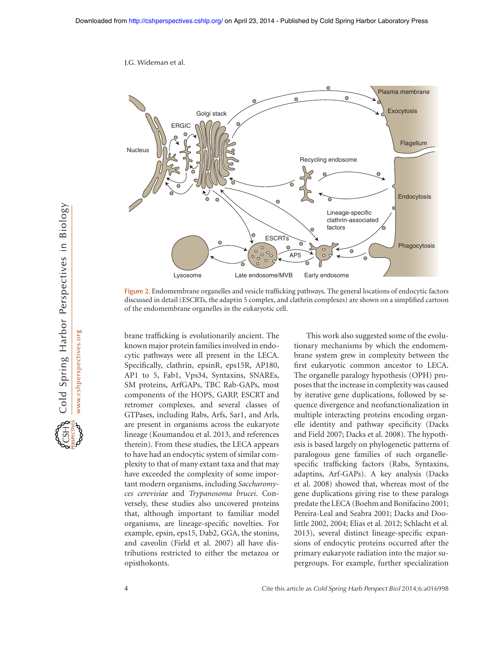



Figure 2. Endomembrane organelles and vesicle trafficking pathways. The general locations of endocytic factors discussed in detail (ESCRTs, the adaptin 5 complex, and clathrin complexes) are shown on a simplified cartoon of the endomembrane organelles in the eukaryotic cell.

brane trafficking is evolutionarily ancient. The known major protein families involved in endocytic pathways were all present in the LECA. Specifically, clathrin, epsinR, eps15R, AP180, AP1 to 5, Fab1, Vps34, Syntaxins, SNAREs, SM proteins, ArfGAPs, TBC Rab-GAPs, most components of the HOPS, GARP, ESCRT and retromer complexes, and several classes of GTPases, including Rabs, Arfs, Sar1, and Arls, are present in organisms across the eukaryote lineage (Koumandou et al. 2013, and references therein). From these studies, the LECA appears to have had an endocytic system of similar complexity to that of many extant taxa and that may have exceeded the complexity of some important modern organisms, including Saccharomyces cerevisiae and Trypanosoma brucei. Conversely, these studies also uncovered proteins that, although important to familiar model organisms, are lineage-specific novelties. For example, epsin, eps15, Dab2, GGA, the stonins, and caveolin (Field et al. 2007) all have distributions restricted to either the metazoa or opisthokonts.

This work also suggested some of the evolutionary mechanisms by which the endomembrane system grew in complexity between the first eukaryotic common ancestor to LECA. The organelle paralogy hypothesis (OPH) proposes that the increase in complexity was caused by iterative gene duplications, followed by sequence divergence and neofunctionalization in multiple interacting proteins encoding organelle identity and pathway specificity (Dacks and Field 2007; Dacks et al. 2008). The hypothesis is based largely on phylogenetic patterns of paralogous gene families of such organellespecific trafficking factors (Rabs, Syntaxins, adaptins, Arf-GAPs). A key analysis (Dacks et al. 2008) showed that, whereas most of the gene duplications giving rise to these paralogs predate the LECA (Boehm and Bonifacino 2001; Pereira-Leal and Seabra 2001; Dacks and Doolittle 2002, 2004; Elias et al. 2012; Schlacht et al. 2013), several distinct lineage-specific expansions of endocytic proteins occurred after the primary eukaryote radiation into the major supergroups. For example, further specialization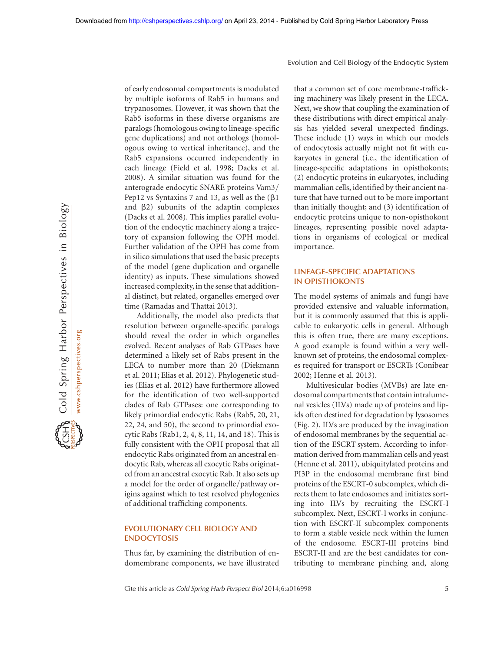Cold Spring Harbor Perspectives in Biology www.cshperspectives.org of early endosomal compartments is modulated by multiple isoforms of Rab5 in humans and trypanosomes. However, it was shown that the Rab5 isoforms in these diverse organisms are paralogs (homologous owing to lineage-specific gene duplications) and not orthologs (homologous owing to vertical inheritance), and the Rab5 expansions occurred independently in each lineage (Field et al. 1998; Dacks et al. 2008). A similar situation was found for the anterograde endocytic SNARE proteins Vam3/ Pep12 vs Syntaxins 7 and 13, as well as the  $(\beta1)$ and  $\beta$ 2) subunits of the adaptin complexes (Dacks et al. 2008). This implies parallel evolution of the endocytic machinery along a trajectory of expansion following the OPH model. Further validation of the OPH has come from in silico simulations that used the basic precepts of the model (gene duplication and organelle identity) as inputs. These simulations showed increased complexity, in the sense that additional distinct, but related, organelles emerged over time (Ramadas and Thattai 2013).

Additionally, the model also predicts that resolution between organelle-specific paralogs should reveal the order in which organelles evolved. Recent analyses of Rab GTPases have determined a likely set of Rabs present in the LECA to number more than 20 (Diekmann et al. 2011; Elias et al. 2012). Phylogenetic studies (Elias et al. 2012) have furthermore allowed for the identification of two well-supported clades of Rab GTPases: one corresponding to likely primordial endocytic Rabs (Rab5, 20, 21, 22, 24, and 50), the second to primordial exocytic Rabs (Rab1, 2, 4, 8, 11, 14, and 18). This is fully consistent with the OPH proposal that all endocytic Rabs originated from an ancestral endocytic Rab, whereas all exocytic Rabs originated from an ancestral exocytic Rab. It also sets up a model for the order of organelle/pathway origins against which to test resolved phylogenies of additional trafficking components.

### EVOLUTIONARY CELL BIOLOGY AND ENDOCYTOSIS

Thus far, by examining the distribution of endomembrane components, we have illustrated that a common set of core membrane-trafficking machinery was likely present in the LECA. Next, we show that coupling the examination of these distributions with direct empirical analysis has yielded several unexpected findings. These include (1) ways in which our models of endocytosis actually might not fit with eukaryotes in general (i.e., the identification of lineage-specific adaptations in opisthokonts; (2) endocytic proteins in eukaryotes, including mammalian cells, identified by their ancient nature that have turned out to be more important than initially thought; and (3) identification of endocytic proteins unique to non-opisthokont lineages, representing possible novel adaptations in organisms of ecological or medical importance.

### LINEAGE-SPECIFIC ADAPTATIONS IN OPISTHOKONTS

The model systems of animals and fungi have provided extensive and valuable information, but it is commonly assumed that this is applicable to eukaryotic cells in general. Although this is often true, there are many exceptions. A good example is found within a very wellknown set of proteins, the endosomal complexes required for transport or ESCRTs (Conibear 2002; Henne et al. 2013).

Multivesicular bodies (MVBs) are late endosomal compartments that contain intralumenal vesicles (ILVs) made up of proteins and lipids often destined for degradation by lysosomes (Fig. 2). ILVs are produced by the invagination of endosomal membranes by the sequential action of the ESCRT system. According to information derived from mammalian cells and yeast (Henne et al. 2011), ubiquitylated proteins and PI3P in the endosomal membrane first bind proteins of the ESCRT-0 subcomplex, which directs them to late endosomes and initiates sorting into ILVs by recruiting the ESCRT-I subcomplex. Next, ESCRT-I works in conjunction with ESCRT-II subcomplex components to form a stable vesicle neck within the lumen of the endosome. ESCRT-III proteins bind ESCRT-II and are the best candidates for contributing to membrane pinching and, along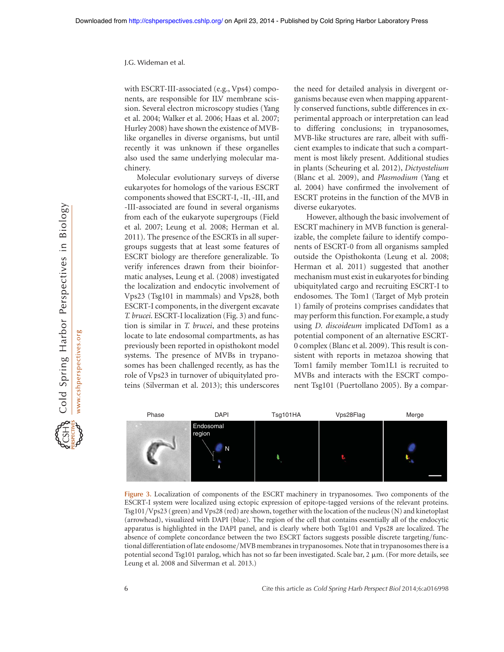with ESCRT-III-associated (e.g., Vps4) components, are responsible for ILV membrane scission. Several electron microscopy studies (Yang et al. 2004; Walker et al. 2006; Haas et al. 2007; Hurley 2008) have shown the existence of MVBlike organelles in diverse organisms, but until recently it was unknown if these organelles also used the same underlying molecular machinery.

Molecular evolutionary surveys of diverse eukaryotes for homologs of the various ESCRT components showed that ESCRT-I, -II, -III, and -III-associated are found in several organisms from each of the eukaryote supergroups (Field et al. 2007; Leung et al. 2008; Herman et al. 2011). The presence of the ESCRTs in all supergroups suggests that at least some features of ESCRT biology are therefore generalizable. To verify inferences drawn from their bioinformatic analyses, Leung et al. (2008) investigated the localization and endocytic involvement of Vps23 (Tsg101 in mammals) and Vps28, both ESCRT-I components, in the divergent excavate T. brucei. ESCRT-I localization (Fig. 3) and function is similar in T. brucei, and these proteins locate to late endosomal compartments, as has previously been reported in opisthokont model systems. The presence of MVBs in trypanosomes has been challenged recently, as has the role of Vps23 in turnover of ubiquitylated proteins (Silverman et al. 2013); this underscores the need for detailed analysis in divergent organisms because even when mapping apparently conserved functions, subtle differences in experimental approach or interpretation can lead to differing conclusions; in trypanosomes, MVB-like structures are rare, albeit with sufficient examples to indicate that such a compartment is most likely present. Additional studies in plants (Scheuring et al. 2012), Dictyostelium (Blanc et al. 2009), and Plasmodium (Yang et al. 2004) have confirmed the involvement of ESCRT proteins in the function of the MVB in diverse eukaryotes.

However, although the basic involvement of ESCRT machinery in MVB function is generalizable, the complete failure to identify components of ESCRT-0 from all organisms sampled outside the Opisthokonta (Leung et al. 2008; Herman et al. 2011) suggested that another mechanism must exist in eukaryotes for binding ubiquitylated cargo and recruiting ESCRT-I to endosomes. The Tom1 (Target of Myb protein 1) family of proteins comprises candidates that may perform this function. For example, a study using D. discoideum implicated DdTom1 as a potential component of an alternative ESCRT-0 complex (Blanc et al. 2009). This result is consistent with reports in metazoa showing that Tom1 family member Tom1L1 is recruited to MVBs and interacts with the ESCRT component Tsg101 (Puertollano 2005). By a compar-



Figure 3. Localization of components of the ESCRT machinery in trypanosomes. Two components of the ESCRT-I system were localized using ectopic expression of epitope-tagged versions of the relevant proteins. Tsg101/Vps23 (green) and Vps28 (red) are shown, together with the location of the nucleus (N) and kinetoplast (arrowhead), visualized with DAPI (blue). The region of the cell that contains essentially all of the endocytic apparatus is highlighted in the DAPI panel, and is clearly where both Tsg101 and Vps28 are localized. The absence of complete concordance between the two ESCRT factors suggests possible discrete targeting/functional differentiation of late endosome/MVB membranes in trypanosomes. Note that in trypanosomes there is a potential second Tsg101 paralog, which has not so far been investigated. Scale bar,  $2 \mu m$ . (For more details, see Leung et al. 2008 and Silverman et al. 2013.)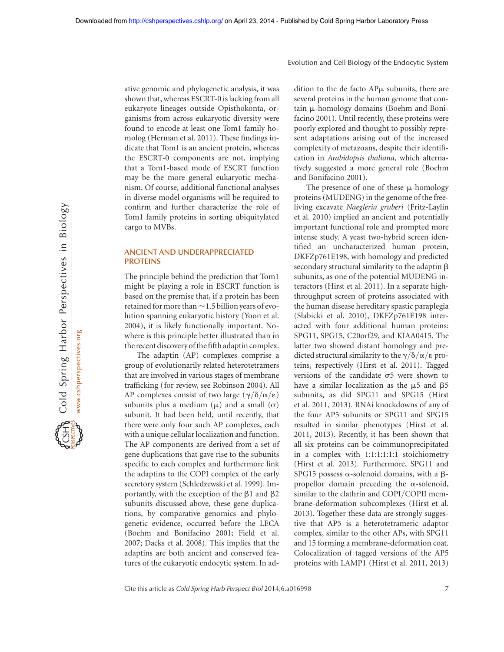ative genomic and phylogenetic analysis, it was shown that, whereas ESCRT-0 is lacking from all eukaryote lineages outside Opisthokonta, organisms from across eukaryotic diversity were found to encode at least one Tom1 family homolog (Herman et al. 2011). These findings indicate that Tom1 is an ancient protein, whereas the ESCRT-0 components are not, implying that a Tom1-based mode of ESCRT function may be the more general eukaryotic mechanism. Of course, additional functional analyses in diverse model organisms will be required to confirm and further characterize the role of Tom1 family proteins in sorting ubiquitylated cargo to MVBs.

### ANCIENT AND UNDERAPPRECIATED **PROTEINS**

The principle behind the prediction that Tom1 might be playing a role in ESCRT function is based on the premise that, if a protein has been retained for more than  $\sim$  1.5 billion years of evolution spanning eukaryotic history (Yoon et al. 2004), it is likely functionally important. Nowhere is this principle better illustrated than in the recent discoveryof the fifth adaptin complex.

The adaptin (AP) complexes comprise a group of evolutionarily related heterotetramers that are involved in various stages of membrane trafficking (for review, see Robinson 2004). All AP complexes consist of two large  $(\gamma/\delta/\alpha/\epsilon)$ subunits plus a medium  $(\mu)$  and a small  $(\sigma)$ subunit. It had been held, until recently, that there were only four such AP complexes, each with a unique cellular localization and function. The AP components are derived from a set of gene duplications that gave rise to the subunits specific to each complex and furthermore link the adaptins to the COPI complex of the early secretory system (Schledzewski et al. 1999). Importantly, with the exception of the  $\beta$ 1 and  $\beta$ 2 subunits discussed above, these gene duplications, by comparative genomics and phylogenetic evidence, occurred before the LECA (Boehm and Bonifacino 2001; Field et al. 2007; Dacks et al. 2008). This implies that the adaptins are both ancient and conserved features of the eukaryotic endocytic system. In addition to the de facto  $AP\mu$  subunits, there are several proteins in the human genome that contain  $\mu$ -homology domains (Boehm and Bonifacino 2001). Until recently, these proteins were poorly explored and thought to possibly represent adaptations arising out of the increased complexity of metazoans, despite their identification in Arabidopsis thaliana, which alternatively suggested a more general role (Boehm and Bonifacino 2001).

The presence of one of these  $\mu$ -homology proteins (MUDENG) in the genome of the freeliving excavate Naegleria gruberi (Fritz-Laylin et al. 2010) implied an ancient and potentially important functional role and prompted more intense study. A yeast two-hybrid screen identified an uncharacterized human protein, DKFZp761E198, with homology and predicted secondary structural similarity to the adaptin  $\beta$ subunits, as one of the potential MUDENG interactors (Hirst et al. 2011). In a separate highthroughput screen of proteins associated with the human disease hereditary spastic paraplegia (Słabicki et al. 2010), DKFZp761E198 interacted with four additional human proteins: SPG11, SPG15, C20orf29, and KIAA0415. The latter two showed distant homology and predicted structural similarity to the  $\gamma/\delta/\alpha/\epsilon$  proteins, respectively (Hirst et al. 2011). Tagged versions of the candidate  $\sigma$ 5 were shown to have a similar localization as the  $\mu$ 5 and  $\beta$ 5 subunits, as did SPG11 and SPG15 (Hirst et al. 2011, 2013). RNAi knockdowns of any of the four AP5 subunits or SPG11 and SPG15 resulted in similar phenotypes (Hirst et al. 2011, 2013). Recently, it has been shown that all six proteins can be coimmunoprecipitated in a complex with 1:1:1:1:1:1 stoichiometry (Hirst et al. 2013). Furthermore, SPG11 and SPG15 possess  $\alpha$ -solenoid domains, with a  $\beta$ propellor domain preceding the  $\alpha$ -solenoid, similar to the clathrin and COPI/COPII membrane-deformation subcomplexes (Hirst et al. 2013). Together these data are strongly suggestive that AP5 is a heterotetrameric adaptor complex, similar to the other APs, with SPG11 and 15 forming a membrane-deformation coat. Colocalization of tagged versions of the AP5 proteins with LAMP1 (Hirst et al. 2011, 2013)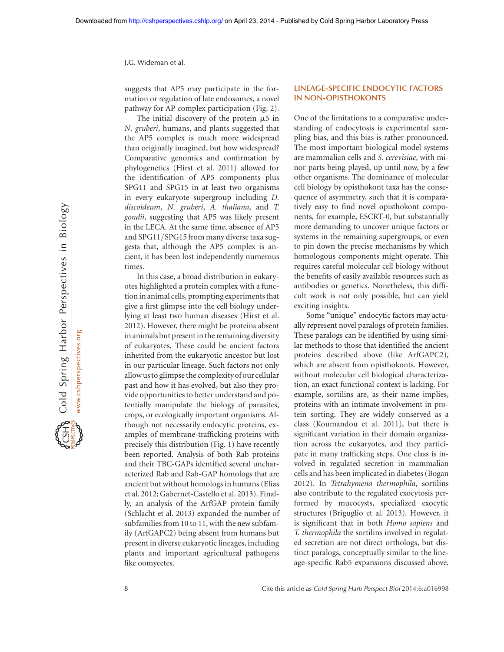suggests that AP5 may participate in the formation or regulation of late endosomes, a novel pathway for AP complex participation (Fig. 2).

The initial discovery of the protein  $\mu$ 5 in N. gruberi, humans, and plants suggested that the AP5 complex is much more widespread than originally imagined, but how widespread? Comparative genomics and confirmation by phylogenetics (Hirst et al. 2011) allowed for the identification of AP5 components plus SPG11 and SPG15 in at least two organisms in every eukaryote supergroup including D. discoideum, N. gruberi, A. thaliana, and T. gondii, suggesting that AP5 was likely present in the LECA. At the same time, absence of AP5 and SPG11/SPG15 from many diverse taxa suggests that, although the AP5 complex is ancient, it has been lost independently numerous times.

In this case, a broad distribution in eukaryotes highlighted a protein complex with a function in animal cells, prompting experiments that give a first glimpse into the cell biology underlying at least two human diseases (Hirst et al. 2012). However, there might be proteins absent in animals but present in the remaining diversity of eukaryotes. These could be ancient factors inherited from the eukaryotic ancestor but lost in our particular lineage. Such factors not only allow us to glimpse the complexityof our cellular past and how it has evolved, but also they provide opportunities to better understand and potentially manipulate the biology of parasites, crops, or ecologically important organisms. Although not necessarily endocytic proteins, examples of membrane-trafficking proteins with precisely this distribution (Fig. 1) have recently been reported. Analysis of both Rab proteins and their TBC-GAPs identified several uncharacterized Rab and Rab-GAP homologs that are ancient but without homologs in humans (Elias et al. 2012; Gabernet-Castello et al. 2013). Finally, an analysis of the ArfGAP protein family (Schlacht et al. 2013) expanded the number of subfamilies from 10 to 11, with the new subfamily (ArfGAPC2) being absent from humans but present in diverse eukaryotic lineages, including plants and important agricultural pathogens like oomycetes.

### LINEAGE-SPECIFIC ENDOCYTIC FACTORS IN NON-OPISTHOKONTS

One of the limitations to a comparative understanding of endocytosis is experimental sampling bias, and this bias is rather pronounced. The most important biological model systems are mammalian cells and S. cerevisiae, with minor parts being played, up until now, by a few other organisms. The dominance of molecular cell biology by opisthokont taxa has the consequence of asymmetry, such that it is comparatively easy to find novel opisthokont components, for example, ESCRT-0, but substantially more demanding to uncover unique factors or systems in the remaining supergroups, or even to pin down the precise mechanisms by which homologous components might operate. This requires careful molecular cell biology without the benefits of easily available resources such as antibodies or genetics. Nonetheless, this difficult work is not only possible, but can yield exciting insights.

Some "unique" endocytic factors may actually represent novel paralogs of protein families. These paralogs can be identified by using similar methods to those that identified the ancient proteins described above (like ArfGAPC2), which are absent from opisthokonts. However, without molecular cell biological characterization, an exact functional context is lacking. For example, sortilins are, as their name implies, proteins with an intimate involvement in protein sorting. They are widely conserved as a class (Koumandou et al. 2011), but there is significant variation in their domain organization across the eukaryotes, and they participate in many trafficking steps. One class is involved in regulated secretion in mammalian cells and has been implicated in diabetes (Bogan 2012). In Tetrahymena thermophila, sortilins also contribute to the regulated exocytosis performed by mucocysts, specialized exocytic structures (Briguglio et al. 2013). However, it is significant that in both Homo sapiens and T. thermophila the sortilins involved in regulated secretion are not direct orthologs, but distinct paralogs, conceptually similar to the lineage-specific Rab5 expansions discussed above.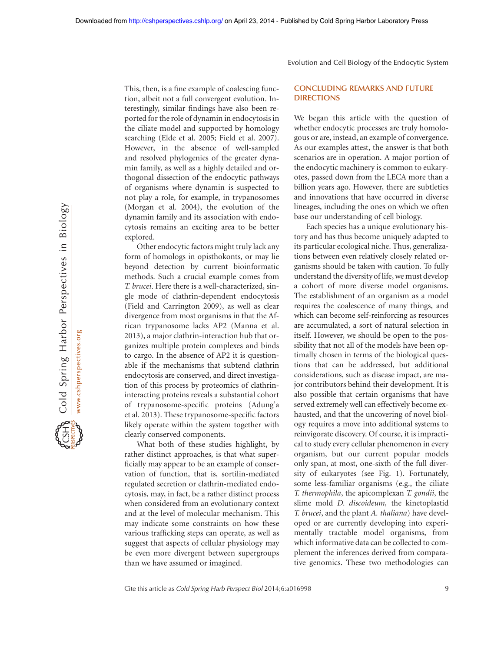This, then, is a fine example of coalescing function, albeit not a full convergent evolution. Interestingly, similar findings have also been reported for the role of dynamin in endocytosis in the ciliate model and supported by homology searching (Elde et al. 2005; Field et al. 2007). However, in the absence of well-sampled and resolved phylogenies of the greater dynamin family, as well as a highly detailed and orthogonal dissection of the endocytic pathways of organisms where dynamin is suspected to not play a role, for example, in trypanosomes (Morgan et al. 2004), the evolution of the dynamin family and its association with endocytosis remains an exciting area to be better explored.

Other endocytic factors might truly lack any form of homologs in opisthokonts, or may lie beyond detection by current bioinformatic methods. Such a crucial example comes from T. brucei. Here there is a well-characterized, single mode of clathrin-dependent endocytosis (Field and Carrington 2009), as well as clear divergence from most organisms in that the African trypanosome lacks AP2 (Manna et al. 2013), a major clathrin-interaction hub that organizes multiple protein complexes and binds to cargo. In the absence of AP2 it is questionable if the mechanisms that subtend clathrin endocytosis are conserved, and direct investigation of this process by proteomics of clathrininteracting proteins reveals a substantial cohort of trypanosome-specific proteins (Adung'a et al. 2013). These trypanosome-specific factors likely operate within the system together with clearly conserved components.

What both of these studies highlight, by rather distinct approaches, is that what superficially may appear to be an example of conservation of function, that is, sortilin-mediated regulated secretion or clathrin-mediated endocytosis, may, in fact, be a rather distinct process when considered from an evolutionary context and at the level of molecular mechanism. This may indicate some constraints on how these various trafficking steps can operate, as well as suggest that aspects of cellular physiology may be even more divergent between supergroups than we have assumed or imagined.

### CONCLUDING REMARKS AND FUTURE DIRECTIONS

We began this article with the question of whether endocytic processes are truly homologous or are, instead, an example of convergence. As our examples attest, the answer is that both scenarios are in operation. A major portion of the endocytic machinery is common to eukaryotes, passed down from the LECA more than a billion years ago. However, there are subtleties and innovations that have occurred in diverse lineages, including the ones on which we often base our understanding of cell biology.

Each species has a unique evolutionary history and has thus become uniquely adapted to its particular ecological niche. Thus, generalizations between even relatively closely related organisms should be taken with caution. To fully understand the diversity of life, we must develop a cohort of more diverse model organisms. The establishment of an organism as a model requires the coalescence of many things, and which can become self-reinforcing as resources are accumulated, a sort of natural selection in itself. However, we should be open to the possibility that not all of the models have been optimally chosen in terms of the biological questions that can be addressed, but additional considerations, such as disease impact, are major contributors behind their development. It is also possible that certain organisms that have served extremely well can effectively become exhausted, and that the uncovering of novel biology requires a move into additional systems to reinvigorate discovery. Of course, it is impractical to study every cellular phenomenon in every organism, but our current popular models only span, at most, one-sixth of the full diversity of eukaryotes (see Fig. 1). Fortunately, some less-familiar organisms (e.g., the ciliate T. thermophila, the apicomplexan T. gondii, the slime mold D. discoideum, the kinetoplastid T. brucei, and the plant A. thaliana) have developed or are currently developing into experimentally tractable model organisms, from which informative data can be collected to complement the inferences derived from comparative genomics. These two methodologies can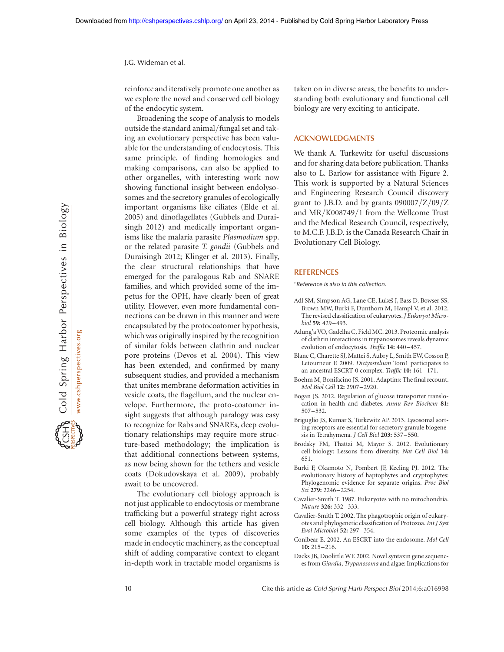reinforce and iteratively promote one another as we explore the novel and conserved cell biology of the endocytic system.

Broadening the scope of analysis to models outside the standard animal/fungal set and taking an evolutionary perspective has been valuable for the understanding of endocytosis. This same principle, of finding homologies and making comparisons, can also be applied to other organelles, with interesting work now showing functional insight between endolysosomes and the secretory granules of ecologically important organisms like ciliates (Elde et al. 2005) and dinoflagellates (Gubbels and Duraisingh 2012) and medically important organisms like the malaria parasite Plasmodium spp. or the related parasite T. gondii (Gubbels and Duraisingh 2012; Klinger et al. 2013). Finally, the clear structural relationships that have emerged for the paralogous Rab and SNARE families, and which provided some of the impetus for the OPH, have clearly been of great utility. However, even more fundamental connections can be drawn in this manner and were encapsulated by the protocoatomer hypothesis, which was originally inspired by the recognition of similar folds between clathrin and nuclear pore proteins (Devos et al. 2004). This view has been extended, and confirmed by many subsequent studies, and provided a mechanism that unites membrane deformation activities in vesicle coats, the flagellum, and the nuclear envelope. Furthermore, the proto-coatomer insight suggests that although paralogy was easy to recognize for Rabs and SNAREs, deep evolutionary relationships may require more structure-based methodology; the implication is that additional connections between systems, as now being shown for the tethers and vesicle coats (Dokudovskaya et al. 2009), probably await to be uncovered.

The evolutionary cell biology approach is not just applicable to endocytosis or membrane trafficking but a powerful strategy right across cell biology. Although this article has given some examples of the types of discoveries made in endocytic machinery, as the conceptual shift of adding comparative context to elegant in-depth work in tractable model organisms is taken on in diverse areas, the benefits to understanding both evolutionary and functional cell biology are very exciting to anticipate.

### ACKNOWLEDGMENTS

We thank A. Turkewitz for useful discussions and for sharing data before publication. Thanks also to L. Barlow for assistance with Figure 2. This work is supported by a Natural Sciences and Engineering Research Council discovery grant to J.B.D. and by grants  $090007/Z/09/Z$ and MR/K008749/1 from the Wellcome Trust and the Medical Research Council, respectively, to M.C.F. J.B.D. is the Canada Research Chair in Evolutionary Cell Biology.

### **REFERENCES**

\*Reference is also in this collection.

- Adl SM, Simpson AG, Lane CE, Lukeš J, Bass D, Bowser SS, Brown MW, Burki F, Dunthorn M, Hampl V, et al. 2012. The revised classification of eukaryotes. J Eukaryot Microbiol 59: 429–493.
- Adung'a VO, Gadelha C, Field MC. 2013. Proteomic analysis of clathrin interactions in trypanosomes reveals dynamic evolution of endocytosis. Traffic 14: 440–457.
- Blanc C, Charette SJ, Mattei S, Aubry L, Smith EW, Cosson P, Letourneur F. 2009. Dictyostelium Tom1 participates to an ancestral ESCRT-0 complex. Traffic 10: 161–171.
- Boehm M, Bonifacino JS. 2001. Adaptins: The final recount. Mol Biol Cell 12: 2907–2920.
- Bogan JS. 2012. Regulation of glucose transporter translocation in health and diabetes. Annu Rev Biochem 81: 507 –532.
- Briguglio JS, Kumar S, Turkewitz AP. 2013. Lysosomal sorting receptors are essential for secretory granule biogenesis in Tetrahymena. J Cell Biol 203: 537–550.
- Brodsky FM, Thattai M, Mayor S. 2012. Evolutionary cell biology: Lessons from diversity. Nat Cell Biol 14: 651.
- Burki F, Okamoto N, Pombert JF, Keeling PJ. 2012. The evolutionary history of haptophytes and cryptophytes: Phylogenomic evidence for separate origins. Proc Biol Sci 279: 2246–2254.
- Cavalier-Smith T. 1987. Eukaryotes with no mitochondria. Nature 326: 332-333.
- Cavalier-Smith T. 2002. The phagotrophic origin of eukaryotes and phylogenetic classification of Protozoa. Int J Syst Evol Microbiol 52: 297 –354.
- Conibear E. 2002. An ESCRT into the endosome. Mol Cell 10: 215–216.
- Dacks JB, Doolittle WF. 2002. Novel syntaxin gene sequences from Giardia, Trypanosoma and algae: Implications for

10 Cite this article as Cold Spring Harb Perspect Biol 2014;6:a016998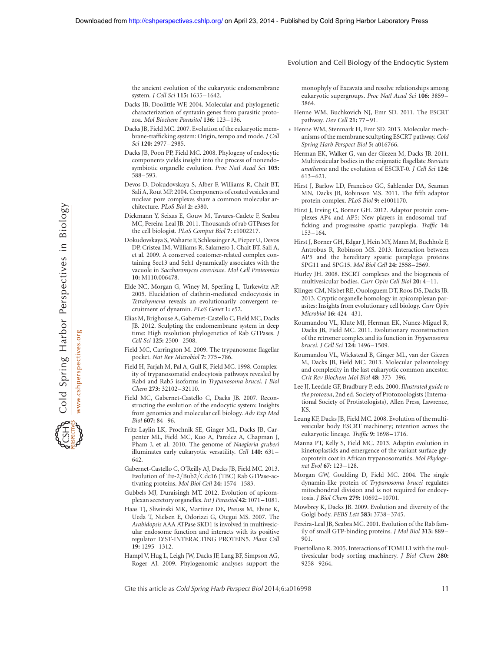the ancient evolution of the eukaryotic endomembrane system. J Cell Sci 115: 1635–1642.

- Dacks JB, Doolittle WF. 2004. Molecular and phylogenetic characterization of syntaxin genes from parasitic protozoa. Mol Biochem Parasitol 136: 123–136.
- Dacks JB, Field MC. 2007. Evolution of the eukaryotic membrane-trafficking system: Origin, tempo and mode. J Cell Sci 120: 2977-2985.
- Dacks JB, Poon PP, Field MC. 2008. Phylogeny of endocytic components yields insight into the process of nonendosymbiotic organelle evolution. Proc Natl Acad Sci 105: 588–593.
- Devos D, Dokudovskaya S, Alber F, Williams R, Chait BT, Sali A, Rout MP. 2004. Components of coated vesicles and nuclear pore complexes share a common molecular architecture. PLoS Biol 2: e380.
- Diekmann Y, Seixas E, Gouw M, Tavares-Cadete F, Seabra MC, Pereira-Leal JB. 2011. Thousands of rab GTPases for the cell biologist. PLoS Comput Biol 7: e1002217.
- Dokudovskaya S, Waharte F, Schlessinger A, Pieper U, Devos DP, Cristea IM, Williams R, Salamero J, Chait BT, Sali A, et al. 2009. A conserved coatomer-related complex containing Sec13 and Seh1 dynamically associates with the vacuole in Saccharomyces cerevisiae. Mol Cell Proteomics 10: M110.006478.
- Elde NC, Morgan G, Winey M, Sperling L, Turkewitz AP. 2005. Elucidation of clathrin-mediated endocytosis in Tetrahymena reveals an evolutionarily convergent recruitment of dynamin. PLoS Genet 1: e52.
- Elias M, Brighouse A, Gabernet-Castello C, Field MC, Dacks JB. 2012. Sculpting the endomembrane system in deep time: High resolution phylogenetics of Rab GTPases. J Cell Sci 125: 2500–2508.
- Field MC, Carrington M. 2009. The trypanosome flagellar pocket. Nat Rev Microbiol 7: 775 –786.
- Field H, Farjah M, Pal A, Gull K, Field MC. 1998. Complexity of trypanosomatid endocytosis pathways revealed by Rab4 and Rab5 isoforms in Trypanosoma brucei. J Biol Chem 273: 32102–32110.
- Field MC, Gabernet-Castello C, Dacks JB. 2007. Reconstructing the evolution of the endocytic system: Insights from genomics and molecular cell biology. Adv Exp Med Biol 607: 84–96.
- Fritz-Laylin LK, Prochnik SE, Ginger ML, Dacks JB, Carpenter ML, Field MC, Kuo A, Paredez A, Chapman J, Pham J, et al. 2010. The genome of Naegleria gruberi illuminates early eukaryotic versatility. Cell 140: 631– 642.
- Gabernet-Castello C, O'Reilly AJ, Dacks JB, Field MC. 2013. Evolution of Tre-2/Bub2/Cdc16 (TBC) Rab GTPase-activating proteins. Mol Biol Cell 24: 1574–1583.
- Gubbels MJ, Duraisingh MT. 2012. Evolution of apicomplexan secretory organelles.Int J Parasitol 42: 1071–1081.
- Haas TJ, Sliwinski MK, Martinez DE, Preuss M, Ebine K, Ueda T, Nielsen E, Odorizzi G, Otegui MS. 2007. The Arabidopsis AAA ATPase SKD1 is involved in multivesicular endosome function and interacts with its positive regulator LYST-INTERACTING PROTEIN5. Plant Cell 19: 1295–1312.
- Hampl V, Hug L, Leigh JW, Dacks JF, Lang BF, Simpson AG, Roger AJ. 2009. Phylogenomic analyses support the

monophyly of Excavata and resolve relationships among eukaryotic supergroups. Proc Natl Acad Sci 106: 3859– 3864.

- Henne WM, Buchkovich NJ, Emr SD. 2011. The ESCRT pathway. Dev Cell 21: 77–91.
- ! Henne WM, Stenmark H, Emr SD. 2013. Molecular mechanisms of the membrane scultpting ESCRT pathway. Cold Spring Harb Perspect Biol 5: a016766.
- Herman EK, Walker G, van der Giezen M, Dacks JB. 2011. Multivesicular bodies in the enigmatic flagellate Breviata anathema and the evolution of ESCRT-0. J Cell Sci 124: 613 –621.
- Hirst J, Barlow LD, Francisco GC, Sahlender DA, Seaman MN, Dacks JB, Robinson MS. 2011. The fifth adaptor protein complex. PLoS Biol 9: e1001170.
- Hirst J, Irving C, Borner GH. 2012. Adaptor protein complexes AP4 and AP5: New players in endosomal trafficking and progressive spastic paraplegia. Traffic 14: 153 –164.
- Hirst J, Borner GH, Edgar J, Hein MY, Mann M, Buchholz F, Antrobus R, Robinson MS. 2013. Interaction between AP5 and the hereditary spastic paraplegia proteins SPG11 and SPG15. Mol Biol Cell 24: 2558–2569.
- Hurley JH. 2008. ESCRT complexes and the biogenesis of multivesicular bodies. Curr Opin Cell Biol 20: 4 –11.
- Klinger CM, Nisbet RE, Ouologuem DT, Roos DS, Dacks JB. 2013. Cryptic organelle homology in apicomplexan parasites: Insights from evolutionary cell biology. Curr Opin Microbiol 16: 424–431.
- Koumandou VL, Klute MJ, Herman EK, Nunez-Miguel R, Dacks JB, Field MC. 2011. Evolutionary reconstruction of the retromer complex and its function in Trypanosoma brucei. J Cell Sci 124: 1496–1509.
- Koumandou VL, Wickstead B, Ginger ML, van der Giezen M, Dacks JB, Field MC. 2013. Molecular paleontology and complexity in the last eukaryotic common ancestor. Crit Rev Biochem Mol Biol 48: 373–396.
- Lee JJ, Leedale GF, Bradbury P, eds. 2000. Illustrated guide to the protozoa, 2nd ed. Society of Protozoologists (International Society of Protistologists), Allen Press, Lawrence, KS.
- Leung KF, Dacks JB, Field MC. 2008. Evolution of the multivesicular body ESCRT machinery; retention across the eukaryotic lineage. Traffic 9: 1698-1716.
- Manna PT, Kelly S, Field MC. 2013. Adaptin evolution in kinetoplastids and emergence of the variant surface glycoprotein coat in African trypanosomatids. Mol Phylogenet Evol 67: 123 –128.
- Morgan GW, Goulding D, Field MC. 2004. The single dynamin-like protein of Trypanosoma brucei regulates mitochondrial division and is not required for endocytosis. J Biol Chem 279: 10692–10701.
- Mowbrey K, Dacks JB. 2009. Evolution and diversity of the Golgi body. FEBS Lett 583: 3738–3745.
- Pereira-Leal JB, Seabra MC. 2001. Evolution of the Rab family of small GTP-binding proteins. J Mol Biol 313: 889– 901.
- Puertollano R. 2005. Interactions of TOM1L1 with the multivesicular body sorting machinery. J Biol Chem 280: 9258–9264.

Cite this article as Cold Spring Harb Perspect Biol 2014;6:a016998 11